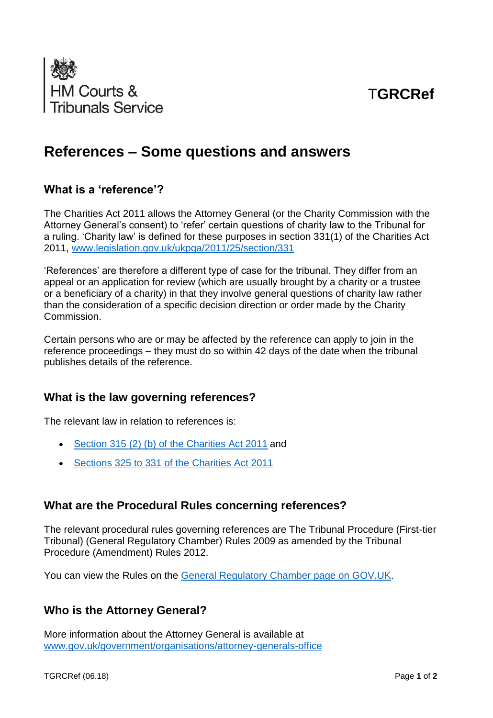

# T**GRCRef**

## **References – Some questions and answers**

## **What is a 'reference'?**

The Charities Act 2011 allows the Attorney General (or the Charity Commission with the Attorney General's consent) to 'refer' certain questions of charity law to the Tribunal for a ruling. 'Charity law' is defined for these purposes in section 331(1) of the Charities Act 2011, [www.legislation.gov.uk/ukpga/2011/25/section/331](http://www.legislation.gov.uk/ukpga/2011/25/section/331)

'References' are therefore a different type of case for the tribunal. They differ from an appeal or an application for review (which are usually brought by a charity or a trustee or a beneficiary of a charity) in that they involve general questions of charity law rather than the consideration of a specific decision direction or order made by the Charity Commission.

Certain persons who are or may be affected by the reference can apply to join in the reference proceedings – they must do so within 42 days of the date when the tribunal publishes details of the reference.

#### **What is the law governing references?**

The relevant law in relation to references is:

- [Section 315 \(2\) \(b\) of the Charities Act 2011](https://www.legislation.gov.uk/ukpga/2011/25/section/315) and
- [Sections 325 to 331 of the Charities Act 2011](https://www.legislation.gov.uk/ukpga/2011/25/section/325)

#### **What are the Procedural Rules concerning references?**

The relevant procedural rules governing references are The Tribunal Procedure (First-tier Tribunal) (General Regulatory Chamber) Rules 2009 as amended by the Tribunal Procedure (Amendment) Rules 2012.

You can view the Rules on the [General Regulatory Chamber](https://www.gov.uk/government/publications/general-regulatory-chamber-tribunal-procedure-rules) page on GOV.UK.

#### **Who is the Attorney General?**

More information about the Attorney General is available at [www.gov.uk/government/organisations/attorney-generals-office](https://www.gov.uk/government/organisations/attorney-generals-office)